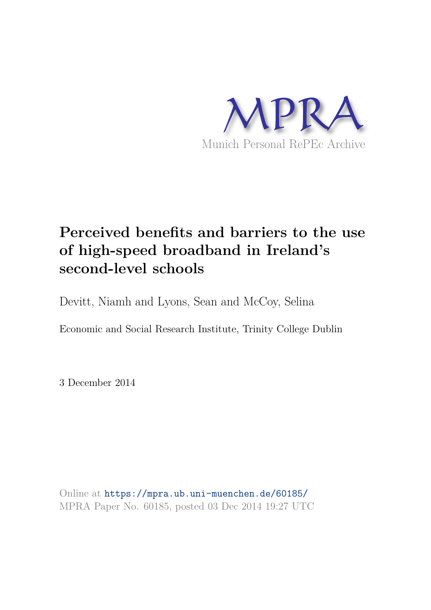

# **Perceived benefits and barriers to the use of high-speed broadband in Ireland's second-level schools**

Devitt, Niamh and Lyons, Sean and McCoy, Selina

Economic and Social Research Institute, Trinity College Dublin

3 December 2014

Online at https://mpra.ub.uni-muenchen.de/60185/ MPRA Paper No. 60185, posted 03 Dec 2014 19:27 UTC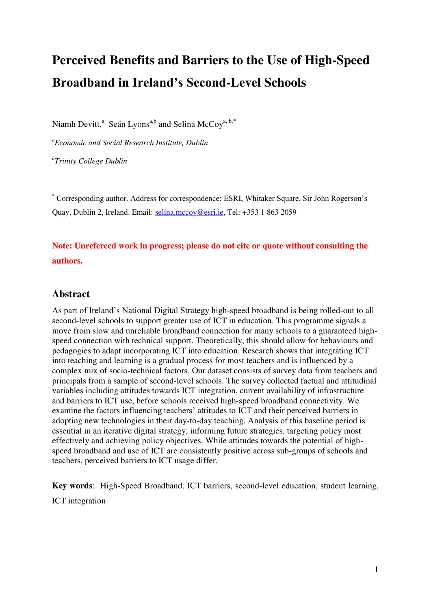# **Perceived Benefits and Barriers to the Use of High-Speed Broadband in Ireland's Second-Level Schools**

Niamh Devitt,<sup>a</sup> Seán Lyons<sup>a,b</sup> and Selina McCoy<sup>a, b,\*</sup>

*<sup>a</sup>Economic and Social Research Institute, Dublin b Trinity College Dublin* 

\* Corresponding author. Address for correspondence: ESRI, Whitaker Square, Sir John Rogerson's Quay, Dublin 2, Ireland. Email: [selina.mccoy@esri.ie,](mailto:selina.mccoy@esri.ie) Tel: +353 1 863 2059

# **Note: Unrefereed work in progress; please do not cite or quote without consulting the authors.**

## **Abstract**

As part of Ireland's National Digital Strategy high-speed broadband is being rolled-out to all second-level schools to support greater use of ICT in education. This programme signals a move from slow and unreliable broadband connection for many schools to a guaranteed highspeed connection with technical support. Theoretically, this should allow for behaviours and pedagogies to adapt incorporating ICT into education. Research shows that integrating ICT into teaching and learning is a gradual process for most teachers and is influenced by a complex mix of socio-technical factors. Our dataset consists of survey data from teachers and principals from a sample of second-level schools. The survey collected factual and attitudinal variables including attitudes towards ICT integration, current availability of infrastructure and barriers to ICT use, before schools received high-speed broadband connectivity. We examine the factors influencing teachers' attitudes to ICT and their perceived barriers in adopting new technologies in their day-to-day teaching. Analysis of this baseline period is essential in an iterative digital strategy, informing future strategies, targeting policy most effectively and achieving policy objectives. While attitudes towards the potential of highspeed broadband and use of ICT are consistently positive across sub-groups of schools and teachers, perceived barriers to ICT usage differ.

**Key words**: High-Speed Broadband, ICT barriers, second-level education, student learning, ICT integration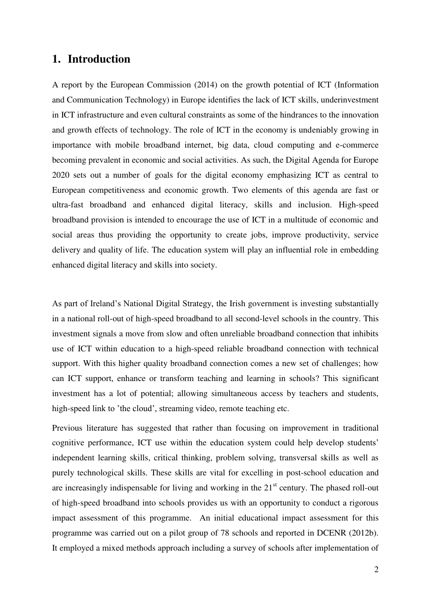### **1. Introduction**

A report by the European Commission (2014) on the growth potential of ICT (Information and Communication Technology) in Europe identifies the lack of ICT skills, underinvestment in ICT infrastructure and even cultural constraints as some of the hindrances to the innovation and growth effects of technology. The role of ICT in the economy is undeniably growing in importance with mobile broadband internet, big data, cloud computing and e-commerce becoming prevalent in economic and social activities. As such, the Digital Agenda for Europe 2020 sets out a number of goals for the digital economy emphasizing ICT as central to European competitiveness and economic growth. Two elements of this agenda are fast or ultra-fast broadband and enhanced digital literacy, skills and inclusion. High-speed broadband provision is intended to encourage the use of ICT in a multitude of economic and social areas thus providing the opportunity to create jobs, improve productivity, service delivery and quality of life. The education system will play an influential role in embedding enhanced digital literacy and skills into society.

As part of Ireland's National Digital Strategy, the Irish government is investing substantially in a national roll-out of high-speed broadband to all second-level schools in the country. This investment signals a move from slow and often unreliable broadband connection that inhibits use of ICT within education to a high-speed reliable broadband connection with technical support. With this higher quality broadband connection comes a new set of challenges; how can ICT support, enhance or transform teaching and learning in schools? This significant investment has a lot of potential; allowing simultaneous access by teachers and students, high-speed link to 'the cloud', streaming video, remote teaching etc.

Previous literature has suggested that rather than focusing on improvement in traditional cognitive performance, ICT use within the education system could help develop students' independent learning skills, critical thinking, problem solving, transversal skills as well as purely technological skills. These skills are vital for excelling in post-school education and are increasingly indispensable for living and working in the  $21<sup>st</sup>$  century. The phased roll-out of high-speed broadband into schools provides us with an opportunity to conduct a rigorous impact assessment of this programme. An initial educational impact assessment for this programme was carried out on a pilot group of 78 schools and reported in DCENR (2012b). It employed a mixed methods approach including a survey of schools after implementation of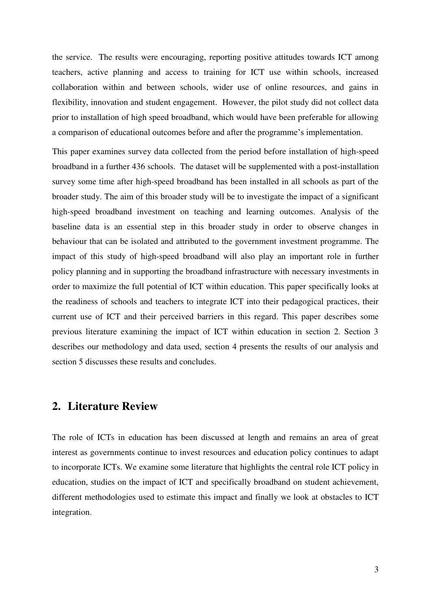the service. The results were encouraging, reporting positive attitudes towards ICT among teachers, active planning and access to training for ICT use within schools, increased collaboration within and between schools, wider use of online resources, and gains in flexibility, innovation and student engagement. However, the pilot study did not collect data prior to installation of high speed broadband, which would have been preferable for allowing a comparison of educational outcomes before and after the programme's implementation.

This paper examines survey data collected from the period before installation of high-speed broadband in a further 436 schools. The dataset will be supplemented with a post-installation survey some time after high-speed broadband has been installed in all schools as part of the broader study. The aim of this broader study will be to investigate the impact of a significant high-speed broadband investment on teaching and learning outcomes. Analysis of the baseline data is an essential step in this broader study in order to observe changes in behaviour that can be isolated and attributed to the government investment programme. The impact of this study of high-speed broadband will also play an important role in further policy planning and in supporting the broadband infrastructure with necessary investments in order to maximize the full potential of ICT within education. This paper specifically looks at the readiness of schools and teachers to integrate ICT into their pedagogical practices, their current use of ICT and their perceived barriers in this regard. This paper describes some previous literature examining the impact of ICT within education in section 2. Section 3 describes our methodology and data used, section 4 presents the results of our analysis and section 5 discusses these results and concludes.

## **2. Literature Review**

The role of ICTs in education has been discussed at length and remains an area of great interest as governments continue to invest resources and education policy continues to adapt to incorporate ICTs. We examine some literature that highlights the central role ICT policy in education, studies on the impact of ICT and specifically broadband on student achievement, different methodologies used to estimate this impact and finally we look at obstacles to ICT integration.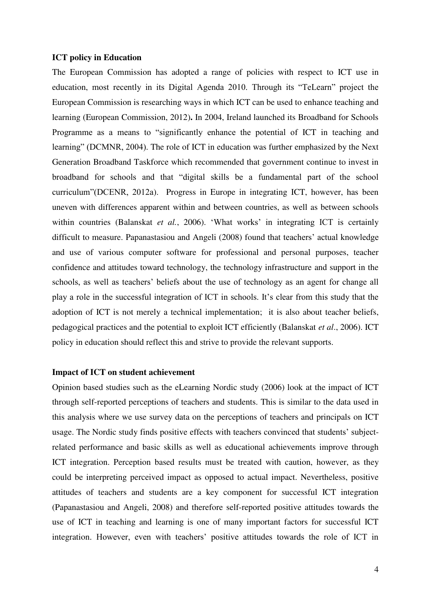#### **ICT policy in Education**

The European Commission has adopted a range of policies with respect to ICT use in education, most recently in its Digital Agenda 2010. Through its "TeLearn" project the European Commission is researching ways in which ICT can be used to enhance teaching and learning (European Commission, 2012)**.** In 2004, Ireland launched its Broadband for Schools Programme as a means to "significantly enhance the potential of ICT in teaching and learning" (DCMNR, 2004). The role of ICT in education was further emphasized by the Next Generation Broadband Taskforce which recommended that government continue to invest in broadband for schools and that "digital skills be a fundamental part of the school curriculum"(DCENR, 2012a). Progress in Europe in integrating ICT, however, has been uneven with differences apparent within and between countries, as well as between schools within countries (Balanskat *et al.*, 2006). 'What works' in integrating ICT is certainly difficult to measure. Papanastasiou and Angeli (2008) found that teachers' actual knowledge and use of various computer software for professional and personal purposes, teacher confidence and attitudes toward technology, the technology infrastructure and support in the schools, as well as teachers' beliefs about the use of technology as an agent for change all play a role in the successful integration of ICT in schools. It's clear from this study that the adoption of ICT is not merely a technical implementation; it is also about teacher beliefs, pedagogical practices and the potential to exploit ICT efficiently (Balanskat *et al*., 2006). ICT policy in education should reflect this and strive to provide the relevant supports.

#### **Impact of ICT on student achievement**

Opinion based studies such as the eLearning Nordic study (2006) look at the impact of ICT through self-reported perceptions of teachers and students. This is similar to the data used in this analysis where we use survey data on the perceptions of teachers and principals on ICT usage. The Nordic study finds positive effects with teachers convinced that students' subjectrelated performance and basic skills as well as educational achievements improve through ICT integration. Perception based results must be treated with caution, however, as they could be interpreting perceived impact as opposed to actual impact. Nevertheless, positive attitudes of teachers and students are a key component for successful ICT integration (Papanastasiou and Angeli, 2008) and therefore self-reported positive attitudes towards the use of ICT in teaching and learning is one of many important factors for successful ICT integration. However, even with teachers' positive attitudes towards the role of ICT in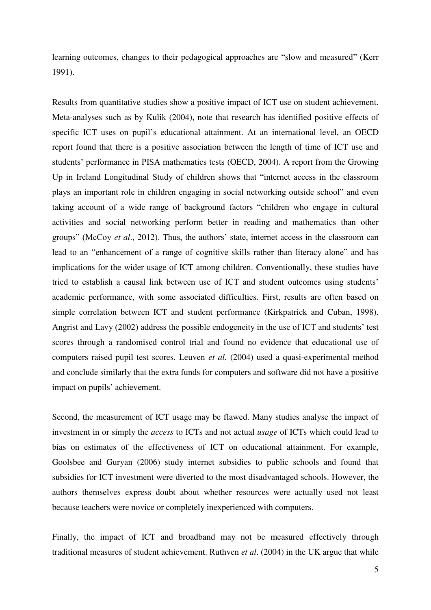learning outcomes, changes to their pedagogical approaches are "slow and measured" (Kerr 1991).

Results from quantitative studies show a positive impact of ICT use on student achievement. Meta-analyses such as by Kulik (2004), note that research has identified positive effects of specific ICT uses on pupil's educational attainment. At an international level, an OECD report found that there is a positive association between the length of time of ICT use and students' performance in PISA mathematics tests (OECD, 2004). A report from the Growing Up in Ireland Longitudinal Study of children shows that "internet access in the classroom plays an important role in children engaging in social networking outside school" and even taking account of a wide range of background factors "children who engage in cultural activities and social networking perform better in reading and mathematics than other groups" (McCoy *et al*., 2012). Thus, the authors' state, internet access in the classroom can lead to an "enhancement of a range of cognitive skills rather than literacy alone" and has implications for the wider usage of ICT among children. Conventionally, these studies have tried to establish a causal link between use of ICT and student outcomes using students' academic performance, with some associated difficulties. First, results are often based on simple correlation between ICT and student performance (Kirkpatrick and Cuban, 1998). Angrist and Lavy (2002) address the possible endogeneity in the use of ICT and students' test scores through a randomised control trial and found no evidence that educational use of computers raised pupil test scores. Leuven *et al.* (2004) used a quasi-experimental method and conclude similarly that the extra funds for computers and software did not have a positive impact on pupils' achievement.

Second, the measurement of ICT usage may be flawed. Many studies analyse the impact of investment in or simply the *access* to ICTs and not actual *usage* of ICTs which could lead to bias on estimates of the effectiveness of ICT on educational attainment. For example, Goolsbee and Guryan (2006) study internet subsidies to public schools and found that subsidies for ICT investment were diverted to the most disadvantaged schools. However, the authors themselves express doubt about whether resources were actually used not least because teachers were novice or completely inexperienced with computers.

Finally, the impact of ICT and broadband may not be measured effectively through traditional measures of student achievement. Ruthven *et al*. (2004) in the UK argue that while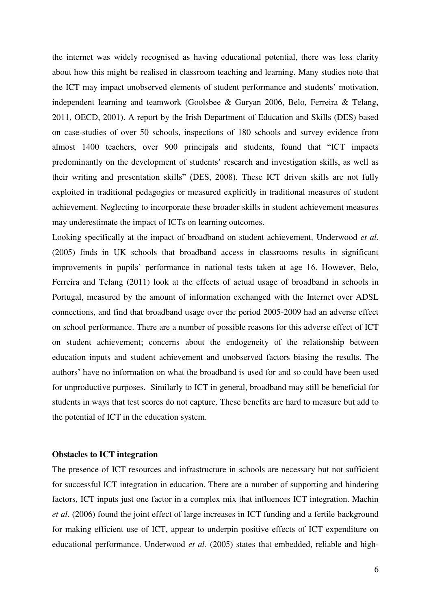the internet was widely recognised as having educational potential, there was less clarity about how this might be realised in classroom teaching and learning. Many studies note that the ICT may impact unobserved elements of student performance and students' motivation, independent learning and teamwork (Goolsbee & Guryan 2006, Belo, Ferreira & Telang, 2011, OECD, 2001). A report by the Irish Department of Education and Skills (DES) based on case-studies of over 50 schools, inspections of 180 schools and survey evidence from almost 1400 teachers, over 900 principals and students, found that "ICT impacts predominantly on the development of students' research and investigation skills, as well as their writing and presentation skills" (DES, 2008). These ICT driven skills are not fully exploited in traditional pedagogies or measured explicitly in traditional measures of student achievement. Neglecting to incorporate these broader skills in student achievement measures may underestimate the impact of ICTs on learning outcomes.

Looking specifically at the impact of broadband on student achievement, Underwood *et al.* (2005) finds in UK schools that broadband access in classrooms results in significant improvements in pupils' performance in national tests taken at age 16. However, Belo, Ferreira and Telang (2011) look at the effects of actual usage of broadband in schools in Portugal, measured by the amount of information exchanged with the Internet over ADSL connections, and find that broadband usage over the period 2005-2009 had an adverse effect on school performance. There are a number of possible reasons for this adverse effect of ICT on student achievement; concerns about the endogeneity of the relationship between education inputs and student achievement and unobserved factors biasing the results. The authors' have no information on what the broadband is used for and so could have been used for unproductive purposes. Similarly to ICT in general, broadband may still be beneficial for students in ways that test scores do not capture. These benefits are hard to measure but add to the potential of ICT in the education system.

#### **Obstacles to ICT integration**

The presence of ICT resources and infrastructure in schools are necessary but not sufficient for successful ICT integration in education. There are a number of supporting and hindering factors, ICT inputs just one factor in a complex mix that influences ICT integration. Machin *et al.* (2006) found the joint effect of large increases in ICT funding and a fertile background for making efficient use of ICT, appear to underpin positive effects of ICT expenditure on educational performance. Underwood *et al.* (2005) states that embedded, reliable and high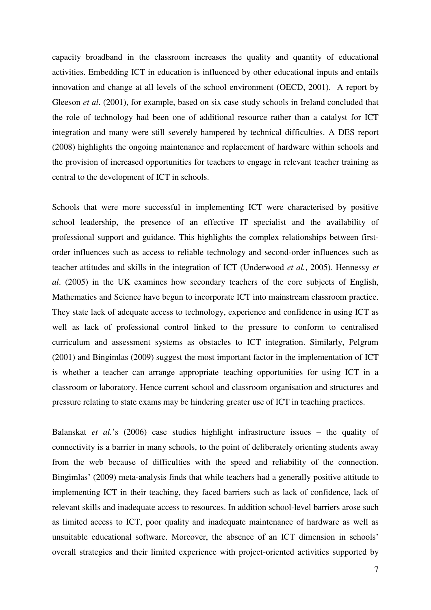capacity broadband in the classroom increases the quality and quantity of educational activities. Embedding ICT in education is influenced by other educational inputs and entails innovation and change at all levels of the school environment (OECD, 2001). A report by Gleeson *et al*. (2001), for example, based on six case study schools in Ireland concluded that the role of technology had been one of additional resource rather than a catalyst for ICT integration and many were still severely hampered by technical difficulties. A DES report (2008) highlights the ongoing maintenance and replacement of hardware within schools and the provision of increased opportunities for teachers to engage in relevant teacher training as central to the development of ICT in schools.

Schools that were more successful in implementing ICT were characterised by positive school leadership, the presence of an effective IT specialist and the availability of professional support and guidance. This highlights the complex relationships between firstorder influences such as access to reliable technology and second-order influences such as teacher attitudes and skills in the integration of ICT (Underwood *et al.*, 2005). Hennessy *et al*. (2005) in the UK examines how secondary teachers of the core subjects of English, Mathematics and Science have begun to incorporate ICT into mainstream classroom practice. They state lack of adequate access to technology, experience and confidence in using ICT as well as lack of professional control linked to the pressure to conform to centralised curriculum and assessment systems as obstacles to ICT integration. Similarly, Pelgrum (2001) and Bingimlas (2009) suggest the most important factor in the implementation of ICT is whether a teacher can arrange appropriate teaching opportunities for using ICT in a classroom or laboratory. Hence current school and classroom organisation and structures and pressure relating to state exams may be hindering greater use of ICT in teaching practices.

Balanskat *et al.*'s (2006) case studies highlight infrastructure issues – the quality of connectivity is a barrier in many schools, to the point of deliberately orienting students away from the web because of difficulties with the speed and reliability of the connection. Bingimlas' (2009) meta-analysis finds that while teachers had a generally positive attitude to implementing ICT in their teaching, they faced barriers such as lack of confidence, lack of relevant skills and inadequate access to resources. In addition school-level barriers arose such as limited access to ICT, poor quality and inadequate maintenance of hardware as well as unsuitable educational software. Moreover, the absence of an ICT dimension in schools' overall strategies and their limited experience with project-oriented activities supported by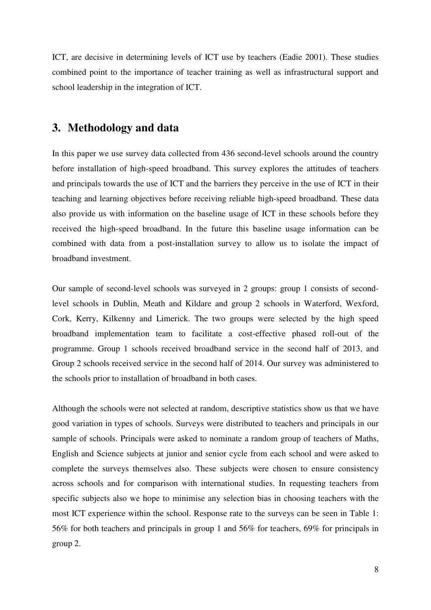ICT, are decisive in determining levels of ICT use by teachers (Eadie 2001). These studies combined point to the importance of teacher training as well as infrastructural support and school leadership in the integration of ICT.

## **3. Methodology and data**

In this paper we use survey data collected from 436 second-level schools around the country before installation of high-speed broadband. This survey explores the attitudes of teachers and principals towards the use of ICT and the barriers they perceive in the use of ICT in their teaching and learning objectives before receiving reliable high-speed broadband. These data also provide us with information on the baseline usage of ICT in these schools before they received the high-speed broadband. In the future this baseline usage information can be combined with data from a post-installation survey to allow us to isolate the impact of broadband investment.

Our sample of second-level schools was surveyed in 2 groups: group 1 consists of secondlevel schools in Dublin, Meath and Kildare and group 2 schools in Waterford, Wexford, Cork, Kerry, Kilkenny and Limerick. The two groups were selected by the high speed broadband implementation team to facilitate a cost-effective phased roll-out of the programme. Group 1 schools received broadband service in the second half of 2013, and Group 2 schools received service in the second half of 2014. Our survey was administered to the schools prior to installation of broadband in both cases.

Although the schools were not selected at random, descriptive statistics show us that we have good variation in types of schools. Surveys were distributed to teachers and principals in our sample of schools. Principals were asked to nominate a random group of teachers of Maths, English and Science subjects at junior and senior cycle from each school and were asked to complete the surveys themselves also. These subjects were chosen to ensure consistency across schools and for comparison with international studies. In requesting teachers from specific subjects also we hope to minimise any selection bias in choosing teachers with the most ICT experience within the school. Response rate to the surveys can be seen in Table 1: 56% for both teachers and principals in group 1 and 56% for teachers, 69% for principals in group 2.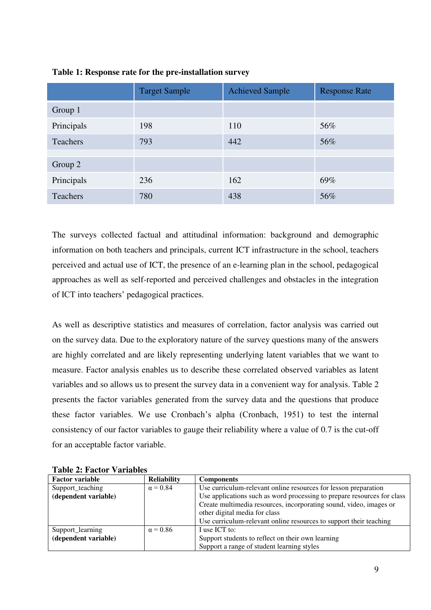|            | <b>Target Sample</b> | <b>Achieved Sample</b> | <b>Response Rate</b> |
|------------|----------------------|------------------------|----------------------|
| Group 1    |                      |                        |                      |
| Principals | 198                  | 110                    | 56%                  |
| Teachers   | 793                  | 442                    | 56%                  |
| Group 2    |                      |                        |                      |
| Principals | 236                  | 162                    | 69%                  |
| Teachers   | 780                  | 438                    | 56%                  |

**Table 1: Response rate for the pre-installation survey** 

The surveys collected factual and attitudinal information: background and demographic information on both teachers and principals, current ICT infrastructure in the school, teachers perceived and actual use of ICT, the presence of an e-learning plan in the school, pedagogical approaches as well as self-reported and perceived challenges and obstacles in the integration of ICT into teachers' pedagogical practices.

As well as descriptive statistics and measures of correlation, factor analysis was carried out on the survey data. Due to the exploratory nature of the survey questions many of the answers are highly correlated and are likely representing underlying latent variables that we want to measure. Factor analysis enables us to describe these correlated observed variables as latent variables and so allows us to present the survey data in a convenient way for analysis. Table 2 presents the factor variables generated from the survey data and the questions that produce these factor variables. We use Cronbach's alpha (Cronbach, 1951) to test the internal consistency of our factor variables to gauge their reliability where a value of 0.7 is the cut-off for an acceptable factor variable.

| <b>Factor variable</b> | <b>Reliability</b> | <b>Components</b>                                                       |
|------------------------|--------------------|-------------------------------------------------------------------------|
| Support_teaching       | $\alpha = 0.84$    | Use curriculum-relevant online resources for lesson preparation         |
| (dependent variable)   |                    | Use applications such as word processing to prepare resources for class |
|                        |                    | Create multimedia resources, incorporating sound, video, images or      |
|                        |                    | other digital media for class                                           |
|                        |                    | Use curriculum-relevant online resources to support their teaching      |
| Support_learning       | $\alpha = 0.86$    | I use ICT to:                                                           |
| (dependent variable)   |                    | Support students to reflect on their own learning                       |
|                        |                    | Support a range of student learning styles                              |

**Table 2: Factor Variables**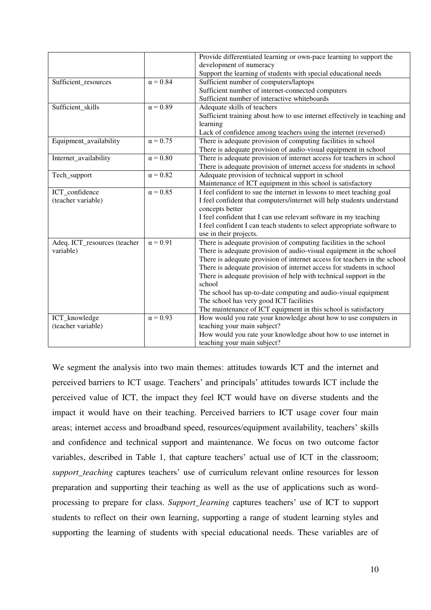|                              |                            | Provide differentiated learning or own-pace learning to support the       |  |
|------------------------------|----------------------------|---------------------------------------------------------------------------|--|
|                              |                            | development of numeracy                                                   |  |
|                              |                            | Support the learning of students with special educational needs           |  |
| Sufficient_resources         | $\alpha = 0.84$            | Sufficient number of computers/laptops                                    |  |
|                              |                            | Sufficient number of internet-connected computers                         |  |
|                              |                            | Sufficient number of interactive whiteboards                              |  |
| Sufficient skills            | $\alpha = 0.89$            | Adequate skills of teachers                                               |  |
|                              |                            | Sufficient training about how to use internet effectively in teaching and |  |
|                              |                            | learning                                                                  |  |
|                              |                            | Lack of confidence among teachers using the internet (reversed)           |  |
| Equipment_availability       | $\alpha$ = 0.75            | There is adequate provision of computing facilities in school             |  |
|                              |                            | There is adequate provision of audio-visual equipment in school           |  |
| Internet_availability        | $\alpha = 0.80$            | There is adequate provision of internet access for teachers in school     |  |
|                              |                            | There is adequate provision of internet access for students in school     |  |
| Tech_support                 | $\alpha = 0.82$            | Adequate provision of technical support in school                         |  |
|                              |                            | Maintenance of ICT equipment in this school is satisfactory               |  |
| ICT_confidence               | $\overline{\alpha} = 0.85$ | I feel confident to sue the internet in lessons to meet teaching goal     |  |
| (teacher variable)           |                            | I feel confident that computers/internet will help students understand    |  |
|                              |                            | concepts better                                                           |  |
|                              |                            | I feel confident that I can use relevant software in my teaching          |  |
|                              |                            | I feel confident I can teach students to select appropriate software to   |  |
|                              |                            | use in their projects.                                                    |  |
| Adeq. ICT_resources (teacher | $\alpha$ = 0.91            | There is adequate provision of computing facilities in the school         |  |
| variable)                    |                            | There is adequate provision of audio-visual equipment in the school       |  |
|                              |                            | There is adequate provision of internet access for teachers in the school |  |
|                              |                            | There is adequate provision of internet access for students in school     |  |
|                              |                            | There is adequate provision of help with technical support in the         |  |
|                              |                            | school                                                                    |  |
|                              |                            | The school has up-to-date computing and audio-visual equipment            |  |
|                              |                            | The school has very good ICT facilities                                   |  |
|                              |                            | The maintenance of ICT equipment in this school is satisfactory           |  |
| ICT_knowledge                | $\alpha$ = 0.93            | How would you rate your knowledge about how to use computers in           |  |
| (teacher variable)           |                            | teaching your main subject?                                               |  |
|                              |                            | How would you rate your knowledge about how to use internet in            |  |
|                              |                            | teaching your main subject?                                               |  |

We segment the analysis into two main themes: attitudes towards ICT and the internet and perceived barriers to ICT usage. Teachers' and principals' attitudes towards ICT include the perceived value of ICT, the impact they feel ICT would have on diverse students and the impact it would have on their teaching. Perceived barriers to ICT usage cover four main areas; internet access and broadband speed, resources/equipment availability, teachers' skills and confidence and technical support and maintenance. We focus on two outcome factor variables, described in Table 1, that capture teachers' actual use of ICT in the classroom; *support\_teaching* captures teachers' use of curriculum relevant online resources for lesson preparation and supporting their teaching as well as the use of applications such as wordprocessing to prepare for class. *Support\_learning* captures teachers' use of ICT to support students to reflect on their own learning, supporting a range of student learning styles and supporting the learning of students with special educational needs. These variables are of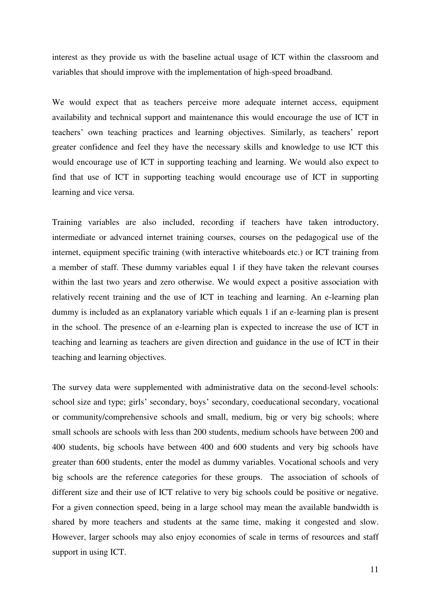interest as they provide us with the baseline actual usage of ICT within the classroom and variables that should improve with the implementation of high-speed broadband.

We would expect that as teachers perceive more adequate internet access, equipment availability and technical support and maintenance this would encourage the use of ICT in teachers' own teaching practices and learning objectives. Similarly, as teachers' report greater confidence and feel they have the necessary skills and knowledge to use ICT this would encourage use of ICT in supporting teaching and learning. We would also expect to find that use of ICT in supporting teaching would encourage use of ICT in supporting learning and vice versa.

Training variables are also included, recording if teachers have taken introductory, intermediate or advanced internet training courses, courses on the pedagogical use of the internet, equipment specific training (with interactive whiteboards etc.) or ICT training from a member of staff. These dummy variables equal 1 if they have taken the relevant courses within the last two years and zero otherwise. We would expect a positive association with relatively recent training and the use of ICT in teaching and learning. An e-learning plan dummy is included as an explanatory variable which equals 1 if an e-learning plan is present in the school. The presence of an e-learning plan is expected to increase the use of ICT in teaching and learning as teachers are given direction and guidance in the use of ICT in their teaching and learning objectives.

The survey data were supplemented with administrative data on the second-level schools: school size and type; girls' secondary, boys' secondary, coeducational secondary, vocational or community/comprehensive schools and small, medium, big or very big schools; where small schools are schools with less than 200 students, medium schools have between 200 and 400 students, big schools have between 400 and 600 students and very big schools have greater than 600 students, enter the model as dummy variables. Vocational schools and very big schools are the reference categories for these groups. The association of schools of different size and their use of ICT relative to very big schools could be positive or negative. For a given connection speed, being in a large school may mean the available bandwidth is shared by more teachers and students at the same time, making it congested and slow. However, larger schools may also enjoy economies of scale in terms of resources and staff support in using ICT.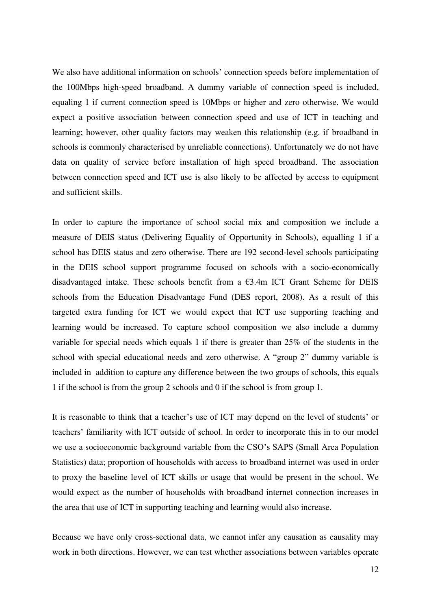We also have additional information on schools' connection speeds before implementation of the 100Mbps high-speed broadband. A dummy variable of connection speed is included, equaling 1 if current connection speed is 10Mbps or higher and zero otherwise. We would expect a positive association between connection speed and use of ICT in teaching and learning; however, other quality factors may weaken this relationship (e.g. if broadband in schools is commonly characterised by unreliable connections). Unfortunately we do not have data on quality of service before installation of high speed broadband. The association between connection speed and ICT use is also likely to be affected by access to equipment and sufficient skills.

In order to capture the importance of school social mix and composition we include a measure of DEIS status (Delivering Equality of Opportunity in Schools), equalling 1 if a school has DEIS status and zero otherwise. There are 192 second-level schools participating in the DEIS school support programme focused on schools with a socio-economically disadvantaged intake. These schools benefit from a  $\epsilon$ 3.4m ICT Grant Scheme for DEIS schools from the Education Disadvantage Fund (DES report, 2008). As a result of this targeted extra funding for ICT we would expect that ICT use supporting teaching and learning would be increased. To capture school composition we also include a dummy variable for special needs which equals 1 if there is greater than 25% of the students in the school with special educational needs and zero otherwise. A "group 2" dummy variable is included in addition to capture any difference between the two groups of schools, this equals 1 if the school is from the group 2 schools and 0 if the school is from group 1.

It is reasonable to think that a teacher's use of ICT may depend on the level of students' or teachers' familiarity with ICT outside of school. In order to incorporate this in to our model we use a socioeconomic background variable from the CSO's SAPS (Small Area Population Statistics) data; proportion of households with access to broadband internet was used in order to proxy the baseline level of ICT skills or usage that would be present in the school. We would expect as the number of households with broadband internet connection increases in the area that use of ICT in supporting teaching and learning would also increase.

Because we have only cross-sectional data, we cannot infer any causation as causality may work in both directions. However, we can test whether associations between variables operate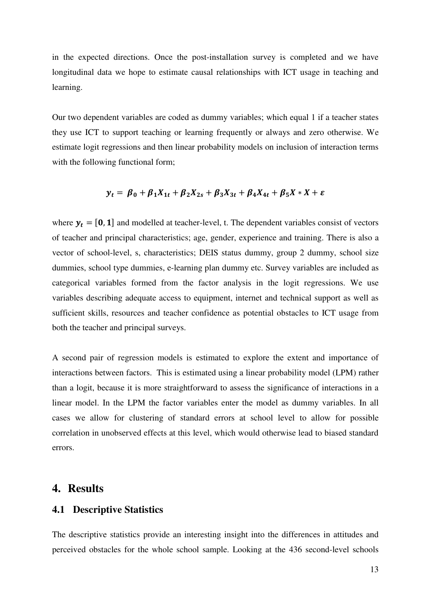in the expected directions. Once the post-installation survey is completed and we have longitudinal data we hope to estimate causal relationships with ICT usage in teaching and learning.

Our two dependent variables are coded as dummy variables; which equal 1 if a teacher states they use ICT to support teaching or learning frequently or always and zero otherwise. We estimate logit regressions and then linear probability models on inclusion of interaction terms with the following functional form;

$$
y_t = \beta_0 + \beta_1 X_{1t} + \beta_2 X_{2s} + \beta_3 X_{3t} + \beta_4 X_{4t} + \beta_5 X \times X + \varepsilon
$$

where  $y_t = [0, 1]$  and modelled at teacher-level, t. The dependent variables consist of vectors of teacher and principal characteristics; age, gender, experience and training. There is also a vector of school-level, s, characteristics; DEIS status dummy, group 2 dummy, school size dummies, school type dummies, e-learning plan dummy etc. Survey variables are included as categorical variables formed from the factor analysis in the logit regressions. We use variables describing adequate access to equipment, internet and technical support as well as sufficient skills, resources and teacher confidence as potential obstacles to ICT usage from both the teacher and principal surveys.

A second pair of regression models is estimated to explore the extent and importance of interactions between factors. This is estimated using a linear probability model (LPM) rather than a logit, because it is more straightforward to assess the significance of interactions in a linear model. In the LPM the factor variables enter the model as dummy variables. In all cases we allow for clustering of standard errors at school level to allow for possible correlation in unobserved effects at this level, which would otherwise lead to biased standard errors.

## **4. Results**

### **4.1 Descriptive Statistics**

The descriptive statistics provide an interesting insight into the differences in attitudes and perceived obstacles for the whole school sample. Looking at the 436 second-level schools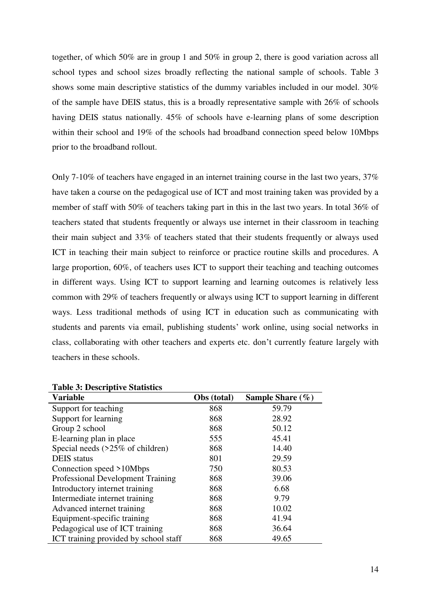together, of which 50% are in group 1 and 50% in group 2, there is good variation across all school types and school sizes broadly reflecting the national sample of schools. Table 3 shows some main descriptive statistics of the dummy variables included in our model. 30% of the sample have DEIS status, this is a broadly representative sample with 26% of schools having DEIS status nationally. 45% of schools have e-learning plans of some description within their school and 19% of the schools had broadband connection speed below 10Mbps prior to the broadband rollout.

Only 7-10% of teachers have engaged in an internet training course in the last two years, 37% have taken a course on the pedagogical use of ICT and most training taken was provided by a member of staff with 50% of teachers taking part in this in the last two years. In total 36% of teachers stated that students frequently or always use internet in their classroom in teaching their main subject and 33% of teachers stated that their students frequently or always used ICT in teaching their main subject to reinforce or practice routine skills and procedures. A large proportion, 60%, of teachers uses ICT to support their teaching and teaching outcomes in different ways. Using ICT to support learning and learning outcomes is relatively less common with 29% of teachers frequently or always using ICT to support learning in different ways. Less traditional methods of using ICT in education such as communicating with students and parents via email, publishing students' work online, using social networks in class, collaborating with other teachers and experts etc. don't currently feature largely with teachers in these schools.

| <b>Variable</b>                            | Obs (total) | Sample Share $(\% )$ |
|--------------------------------------------|-------------|----------------------|
| Support for teaching                       | 868         | 59.79                |
| Support for learning                       | 868         | 28.92                |
| Group 2 school                             | 868         | 50.12                |
| E-learning plan in place                   | 555         | 45.41                |
| Special needs $(25\% \text{ of children})$ | 868         | 14.40                |
| <b>DEIS</b> status                         | 801         | 29.59                |
| Connection speed >10Mbps                   | 750         | 80.53                |
| <b>Professional Development Training</b>   | 868         | 39.06                |
| Introductory internet training             | 868         | 6.68                 |
| Intermediate internet training             | 868         | 9.79                 |
| Advanced internet training                 | 868         | 10.02                |
| Equipment-specific training                | 868         | 41.94                |
| Pedagogical use of ICT training            | 868         | 36.64                |
| ICT training provided by school staff      | 868         | 49.65                |

#### **Table 3: Descriptive Statistics**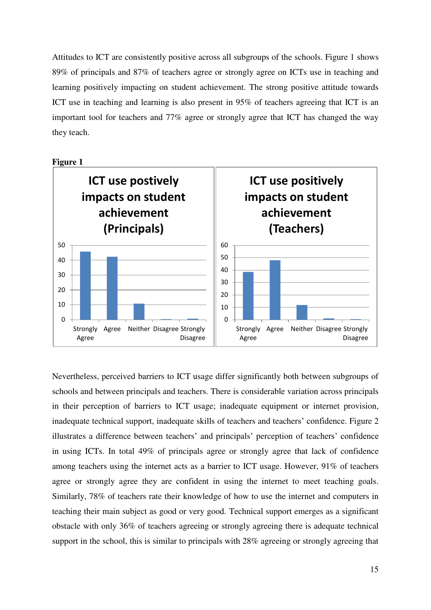Attitudes to ICT are consistently positive across all subgroups of the schools. Figure 1 shows 89% of principals and 87% of teachers agree or strongly agree on ICTs use in teaching and learning positively impacting on student achievement. The strong positive attitude towards ICT use in teaching and learning is also present in 95% of teachers agreeing that ICT is an important tool for teachers and 77% agree or strongly agree that ICT has changed the way they teach.



Nevertheless, perceived barriers to ICT usage differ significantly both between subgroups of schools and between principals and teachers. There is considerable variation across principals in their perception of barriers to ICT usage; inadequate equipment or internet provision, inadequate technical support, inadequate skills of teachers and teachers' confidence. Figure 2 illustrates a difference between teachers' and principals' perception of teachers' confidence in using ICTs. In total 49% of principals agree or strongly agree that lack of confidence among teachers using the internet acts as a barrier to ICT usage. However, 91% of teachers agree or strongly agree they are confident in using the internet to meet teaching goals. Similarly, 78% of teachers rate their knowledge of how to use the internet and computers in teaching their main subject as good or very good. Technical support emerges as a significant obstacle with only 36% of teachers agreeing or strongly agreeing there is adequate technical support in the school, this is similar to principals with 28% agreeing or strongly agreeing that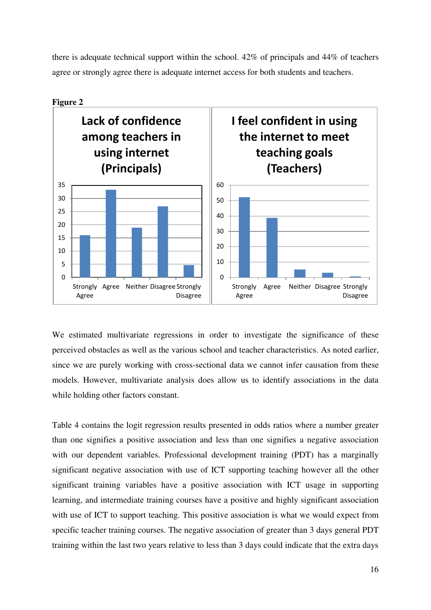there is adequate technical support within the school. 42% of principals and 44% of teachers agree or strongly agree there is adequate internet access for both students and teachers.



We estimated multivariate regressions in order to investigate the significance of these perceived obstacles as well as the various school and teacher characteristics. As noted earlier, since we are purely working with cross-sectional data we cannot infer causation from these models. However, multivariate analysis does allow us to identify associations in the data while holding other factors constant.

Table 4 contains the logit regression results presented in odds ratios where a number greater than one signifies a positive association and less than one signifies a negative association with our dependent variables. Professional development training (PDT) has a marginally significant negative association with use of ICT supporting teaching however all the other significant training variables have a positive association with ICT usage in supporting learning, and intermediate training courses have a positive and highly significant association with use of ICT to support teaching. This positive association is what we would expect from specific teacher training courses. The negative association of greater than 3 days general PDT training within the last two years relative to less than 3 days could indicate that the extra days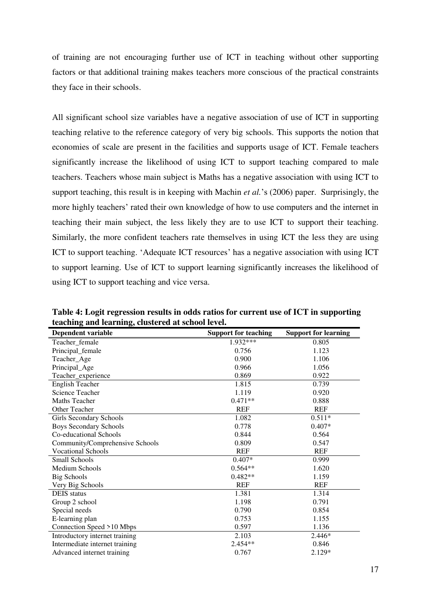of training are not encouraging further use of ICT in teaching without other supporting factors or that additional training makes teachers more conscious of the practical constraints they face in their schools.

All significant school size variables have a negative association of use of ICT in supporting teaching relative to the reference category of very big schools. This supports the notion that economies of scale are present in the facilities and supports usage of ICT. Female teachers significantly increase the likelihood of using ICT to support teaching compared to male teachers. Teachers whose main subject is Maths has a negative association with using ICT to support teaching, this result is in keeping with Machin *et al.*'s (2006) paper. Surprisingly, the more highly teachers' rated their own knowledge of how to use computers and the internet in teaching their main subject, the less likely they are to use ICT to support their teaching. Similarly, the more confident teachers rate themselves in using ICT the less they are using ICT to support teaching. 'Adequate ICT resources' has a negative association with using ICT to support learning. Use of ICT to support learning significantly increases the likelihood of using ICT to support teaching and vice versa.

**Table 4: Logit regression results in odds ratios for current use of ICT in supporting teaching and learning, clustered at school level.** 

| Dependent variable              | <b>Support for teaching</b> | <b>Support for learning</b> |
|---------------------------------|-----------------------------|-----------------------------|
| Teacher_female                  | 1.932***                    | 0.805                       |
| Principal_female                | 0.756                       | 1.123                       |
| Teacher_Age                     | 0.900                       | 1.106                       |
| Principal_Age                   | 0.966                       | 1.056                       |
| Teacher_experience              | 0.869                       | 0.922                       |
| <b>English Teacher</b>          | 1.815                       | 0.739                       |
| <b>Science Teacher</b>          | 1.119                       | 0.920                       |
| <b>Maths Teacher</b>            | $0.471**$                   | 0.888                       |
| Other Teacher                   | <b>REF</b>                  | <b>REF</b>                  |
| Girls Secondary Schools         | 1.082                       | $0.511*$                    |
| <b>Boys Secondary Schools</b>   | 0.778                       | $0.407*$                    |
| Co-educational Schools          | 0.844                       | 0.564                       |
| Community/Comprehensive Schools | 0.809                       | 0.547                       |
| <b>Vocational Schools</b>       | <b>REF</b>                  | <b>REF</b>                  |
| Small Schools                   | $0.407*$                    | 0.999                       |
| Medium Schools                  | $0.564**$                   | 1.620                       |
| <b>Big Schools</b>              | $0.482**$                   | 1.159                       |
| Very Big Schools                | <b>REF</b>                  | <b>REF</b>                  |
| <b>DEIS</b> status              | 1.381                       | 1.314                       |
| Group 2 school                  | 1.198                       | 0.791                       |
| Special needs                   | 0.790                       | 0.854                       |
| E-learning plan                 | 0.753                       | 1.155                       |
| Connection Speed >10 Mbps       | 0.597                       | 1.136                       |
| Introductory internet training  | 2.103                       | 2.446*                      |
| Intermediate internet training  | 2.454**                     | 0.846                       |
| Advanced internet training      | 0.767                       | 2.129*                      |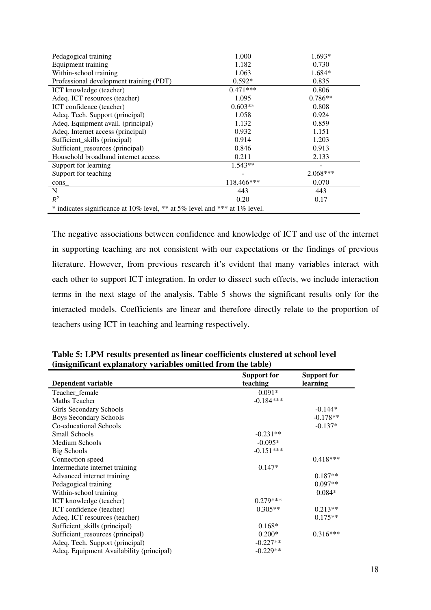| Pedagogical training                                                             | 1.000      | $1.693*$   |  |
|----------------------------------------------------------------------------------|------------|------------|--|
| Equipment training                                                               | 1.182      | 0.730      |  |
| Within-school training                                                           | 1.063      | 1.684*     |  |
| Professional development training (PDT)                                          | $0.592*$   | 0.835      |  |
| ICT knowledge (teacher)                                                          | $0.471***$ | 0.806      |  |
| Adeq. ICT resources (teacher)                                                    | 1.095      | $0.786**$  |  |
| ICT confidence (teacher)                                                         | $0.603**$  | 0.808      |  |
| Adeq. Tech. Support (principal)                                                  | 1.058      | 0.924      |  |
| Adeq. Equipment avail. (principal)                                               | 1.132      | 0.859      |  |
| Adeq. Internet access (principal)                                                | 0.932      | 1.151      |  |
| Sufficient_skills (principal)                                                    | 0.914      | 1.203      |  |
| Sufficient_resources (principal)                                                 | 0.846      | 0.913      |  |
| Household broadband internet access                                              | 0.211      | 2.133      |  |
| Support for learning                                                             | $1.543**$  |            |  |
| Support for teaching                                                             |            | $2.068***$ |  |
| cons                                                                             | 118.466*** | 0.070      |  |
| N                                                                                | 443        | 443        |  |
| $R^2$                                                                            | 0.20       | 0.17       |  |
| $*$ indicates significance at 10% level, $**$ at 5% level and $***$ at 1% level. |            |            |  |

The negative associations between confidence and knowledge of ICT and use of the internet in supporting teaching are not consistent with our expectations or the findings of previous literature. However, from previous research it's evident that many variables interact with each other to support ICT integration. In order to dissect such effects, we include interaction terms in the next stage of the analysis. Table 5 shows the significant results only for the interacted models. Coefficients are linear and therefore directly relate to the proportion of teachers using ICT in teaching and learning respectively.

|                                          | <b>Support for</b> | <b>Support for</b> |
|------------------------------------------|--------------------|--------------------|
| Dependent variable                       | teaching           | learning           |
| Teacher_female                           | $0.091*$           |                    |
| Maths Teacher                            | $-0.184***$        |                    |
| Girls Secondary Schools                  |                    | $-0.144*$          |
| <b>Boys Secondary Schools</b>            |                    | $-0.178**$         |
| Co-educational Schools                   |                    | $-0.137*$          |
| Small Schools                            | $-0.231**$         |                    |
| Medium Schools                           | $-0.095*$          |                    |
| Big Schools                              | $-0.151***$        |                    |
| Connection speed                         |                    | $0.418***$         |
| Intermediate internet training           | $0.147*$           |                    |
| Advanced internet training               |                    | $0.187**$          |
| Pedagogical training                     |                    | $0.097**$          |
| Within-school training                   |                    | $0.084*$           |
| ICT knowledge (teacher)                  | $0.279***$         |                    |
| ICT confidence (teacher)                 | $0.305**$          | $0.213**$          |
| Adeq. ICT resources (teacher)            |                    | $0.175**$          |
| Sufficient_skills (principal)            | $0.168*$           |                    |
| Sufficient_resources (principal)         | $0.200*$           | $0.316***$         |
| Adeq. Tech. Support (principal)          | $-0.227**$         |                    |
| Adeq. Equipment Availability (principal) | $-0.229**$         |                    |

**Table 5: LPM results presented as linear coefficients clustered at school level (insignificant explanatory variables omitted from the table)**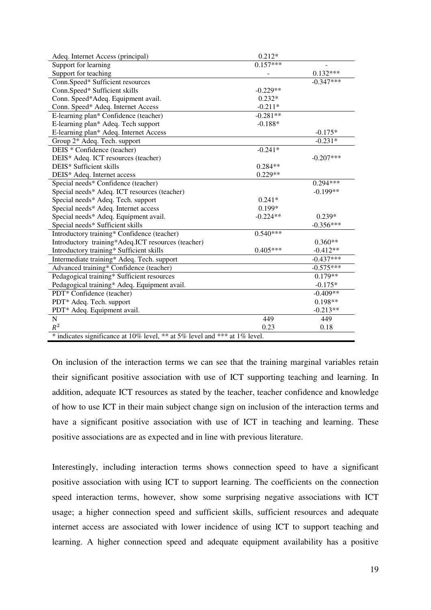| Adeq. Internet Access (principal)                                             | $0.212*$   |             |  |
|-------------------------------------------------------------------------------|------------|-------------|--|
| Support for learning                                                          | $0.157***$ |             |  |
| Support for teaching                                                          |            | $0.132***$  |  |
| Conn.Speed* Sufficient resources                                              |            | $-0.347***$ |  |
| Conn.Speed* Sufficient skills                                                 | $-0.229**$ |             |  |
| Conn. Speed*Adeq. Equipment avail.                                            | $0.232*$   |             |  |
| Conn. Speed* Adeq. Internet Access                                            | $-0.211*$  |             |  |
| E-learning plan* Confidence (teacher)                                         | $-0.281**$ |             |  |
| E-learning plan* Adeq. Tech support                                           | $-0.188*$  |             |  |
| E-learning plan* Adeq. Internet Access                                        |            | $-0.175*$   |  |
| Group 2* Adeq. Tech. support                                                  |            | $-0.231*$   |  |
| DEIS * Confidence (teacher)                                                   | $-0.241*$  |             |  |
| DEIS* Adeq. ICT resources (teacher)                                           |            | $-0.207***$ |  |
| DEIS* Sufficient skills                                                       | $0.284**$  |             |  |
| DEIS* Adeq. Internet access                                                   | $0.229**$  |             |  |
| Special needs* Confidence (teacher)                                           |            | $0.294***$  |  |
| Special needs* Adeq. ICT resources (teacher)                                  |            | $-0.199**$  |  |
| Special needs* Adeq. Tech. support                                            | $0.241*$   |             |  |
| Special needs* Adeq. Internet access                                          | 0.199*     |             |  |
| Special needs* Adeq. Equipment avail.                                         | $-0.224**$ | $0.239*$    |  |
| Special needs* Sufficient skills                                              |            | $-0.356***$ |  |
| Introductory training* Confidence (teacher)                                   | $0.540***$ |             |  |
| Introductory training*Adeq.ICT resources (teacher)                            |            | $0.360**$   |  |
| Introductory training* Sufficient skills                                      | $0.405***$ | $-0.412**$  |  |
| Intermediate training* Adeq. Tech. support                                    |            | $-0.437***$ |  |
| Advanced training* Confidence (teacher)                                       |            | $-0.575***$ |  |
| Pedagogical training* Sufficient resources                                    |            | $0.179**$   |  |
| Pedagogical training* Adeq. Equipment avail.                                  |            | $-0.175*$   |  |
| PDT* Confidence (teacher)                                                     |            | $-0.409**$  |  |
| PDT* Adeq. Tech. support                                                      |            | $0.198**$   |  |
| PDT* Adeq. Equipment avail.                                                   |            | $-0.213**$  |  |
| ${\bf N}$                                                                     | 449        | 449         |  |
| $R^2$                                                                         | 0.23       | 0.18        |  |
| * indicates significance at 10% level, ** at $5\%$ level and *** at 1% level. |            |             |  |

On inclusion of the interaction terms we can see that the training marginal variables retain their significant positive association with use of ICT supporting teaching and learning. In addition, adequate ICT resources as stated by the teacher, teacher confidence and knowledge of how to use ICT in their main subject change sign on inclusion of the interaction terms and have a significant positive association with use of ICT in teaching and learning. These positive associations are as expected and in line with previous literature.

Interestingly, including interaction terms shows connection speed to have a significant positive association with using ICT to support learning. The coefficients on the connection speed interaction terms, however, show some surprising negative associations with ICT usage; a higher connection speed and sufficient skills, sufficient resources and adequate internet access are associated with lower incidence of using ICT to support teaching and learning. A higher connection speed and adequate equipment availability has a positive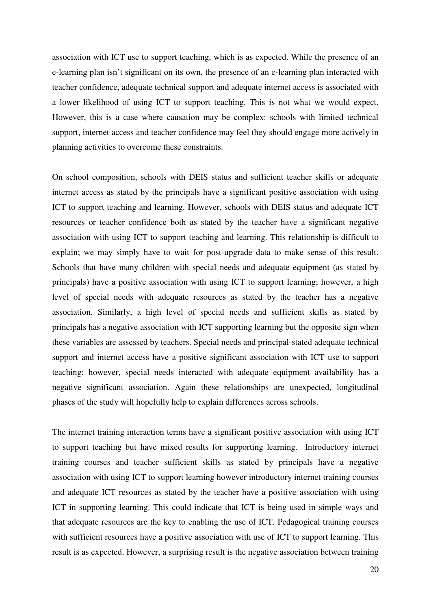association with ICT use to support teaching, which is as expected. While the presence of an e-learning plan isn't significant on its own, the presence of an e-learning plan interacted with teacher confidence, adequate technical support and adequate internet access is associated with a lower likelihood of using ICT to support teaching. This is not what we would expect. However, this is a case where causation may be complex: schools with limited technical support, internet access and teacher confidence may feel they should engage more actively in planning activities to overcome these constraints.

On school composition, schools with DEIS status and sufficient teacher skills or adequate internet access as stated by the principals have a significant positive association with using ICT to support teaching and learning. However, schools with DEIS status and adequate ICT resources or teacher confidence both as stated by the teacher have a significant negative association with using ICT to support teaching and learning. This relationship is difficult to explain; we may simply have to wait for post-upgrade data to make sense of this result. Schools that have many children with special needs and adequate equipment (as stated by principals) have a positive association with using ICT to support learning; however, a high level of special needs with adequate resources as stated by the teacher has a negative association. Similarly, a high level of special needs and sufficient skills as stated by principals has a negative association with ICT supporting learning but the opposite sign when these variables are assessed by teachers. Special needs and principal-stated adequate technical support and internet access have a positive significant association with ICT use to support teaching; however, special needs interacted with adequate equipment availability has a negative significant association. Again these relationships are unexpected, longitudinal phases of the study will hopefully help to explain differences across schools.

The internet training interaction terms have a significant positive association with using ICT to support teaching but have mixed results for supporting learning. Introductory internet training courses and teacher sufficient skills as stated by principals have a negative association with using ICT to support learning however introductory internet training courses and adequate ICT resources as stated by the teacher have a positive association with using ICT in supporting learning. This could indicate that ICT is being used in simple ways and that adequate resources are the key to enabling the use of ICT. Pedagogical training courses with sufficient resources have a positive association with use of ICT to support learning. This result is as expected. However, a surprising result is the negative association between training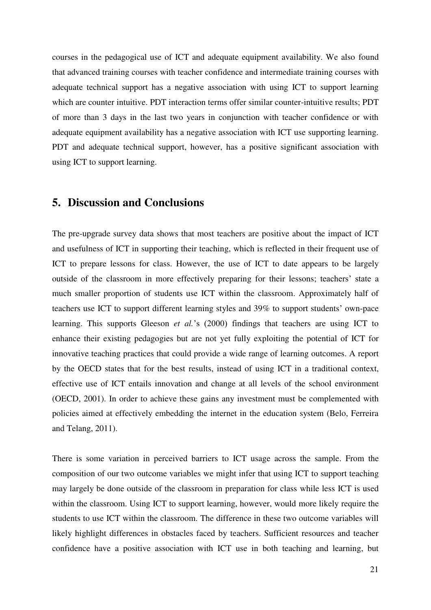courses in the pedagogical use of ICT and adequate equipment availability. We also found that advanced training courses with teacher confidence and intermediate training courses with adequate technical support has a negative association with using ICT to support learning which are counter intuitive. PDT interaction terms offer similar counter-intuitive results; PDT of more than 3 days in the last two years in conjunction with teacher confidence or with adequate equipment availability has a negative association with ICT use supporting learning. PDT and adequate technical support, however, has a positive significant association with using ICT to support learning.

## **5. Discussion and Conclusions**

The pre-upgrade survey data shows that most teachers are positive about the impact of ICT and usefulness of ICT in supporting their teaching, which is reflected in their frequent use of ICT to prepare lessons for class. However, the use of ICT to date appears to be largely outside of the classroom in more effectively preparing for their lessons; teachers' state a much smaller proportion of students use ICT within the classroom. Approximately half of teachers use ICT to support different learning styles and 39% to support students' own-pace learning. This supports Gleeson *et al.*'s (2000) findings that teachers are using ICT to enhance their existing pedagogies but are not yet fully exploiting the potential of ICT for innovative teaching practices that could provide a wide range of learning outcomes. A report by the OECD states that for the best results, instead of using ICT in a traditional context, effective use of ICT entails innovation and change at all levels of the school environment (OECD, 2001). In order to achieve these gains any investment must be complemented with policies aimed at effectively embedding the internet in the education system (Belo, Ferreira and Telang, 2011).

There is some variation in perceived barriers to ICT usage across the sample. From the composition of our two outcome variables we might infer that using ICT to support teaching may largely be done outside of the classroom in preparation for class while less ICT is used within the classroom. Using ICT to support learning, however, would more likely require the students to use ICT within the classroom. The difference in these two outcome variables will likely highlight differences in obstacles faced by teachers. Sufficient resources and teacher confidence have a positive association with ICT use in both teaching and learning, but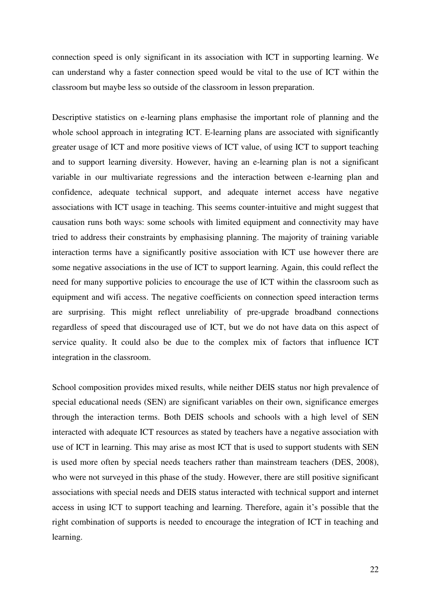connection speed is only significant in its association with ICT in supporting learning. We can understand why a faster connection speed would be vital to the use of ICT within the classroom but maybe less so outside of the classroom in lesson preparation.

Descriptive statistics on e-learning plans emphasise the important role of planning and the whole school approach in integrating ICT. E-learning plans are associated with significantly greater usage of ICT and more positive views of ICT value, of using ICT to support teaching and to support learning diversity. However, having an e-learning plan is not a significant variable in our multivariate regressions and the interaction between e-learning plan and confidence, adequate technical support, and adequate internet access have negative associations with ICT usage in teaching. This seems counter-intuitive and might suggest that causation runs both ways: some schools with limited equipment and connectivity may have tried to address their constraints by emphasising planning. The majority of training variable interaction terms have a significantly positive association with ICT use however there are some negative associations in the use of ICT to support learning. Again, this could reflect the need for many supportive policies to encourage the use of ICT within the classroom such as equipment and wifi access. The negative coefficients on connection speed interaction terms are surprising. This might reflect unreliability of pre-upgrade broadband connections regardless of speed that discouraged use of ICT, but we do not have data on this aspect of service quality. It could also be due to the complex mix of factors that influence ICT integration in the classroom.

School composition provides mixed results, while neither DEIS status nor high prevalence of special educational needs (SEN) are significant variables on their own, significance emerges through the interaction terms. Both DEIS schools and schools with a high level of SEN interacted with adequate ICT resources as stated by teachers have a negative association with use of ICT in learning. This may arise as most ICT that is used to support students with SEN is used more often by special needs teachers rather than mainstream teachers (DES, 2008), who were not surveyed in this phase of the study. However, there are still positive significant associations with special needs and DEIS status interacted with technical support and internet access in using ICT to support teaching and learning. Therefore, again it's possible that the right combination of supports is needed to encourage the integration of ICT in teaching and learning.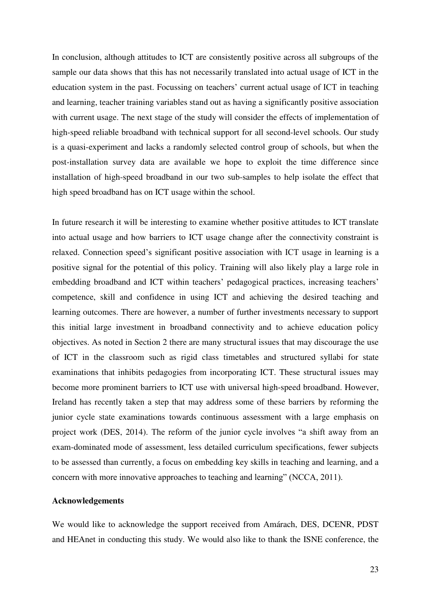In conclusion, although attitudes to ICT are consistently positive across all subgroups of the sample our data shows that this has not necessarily translated into actual usage of ICT in the education system in the past. Focussing on teachers' current actual usage of ICT in teaching and learning, teacher training variables stand out as having a significantly positive association with current usage. The next stage of the study will consider the effects of implementation of high-speed reliable broadband with technical support for all second-level schools. Our study is a quasi-experiment and lacks a randomly selected control group of schools, but when the post-installation survey data are available we hope to exploit the time difference since installation of high-speed broadband in our two sub-samples to help isolate the effect that high speed broadband has on ICT usage within the school.

In future research it will be interesting to examine whether positive attitudes to ICT translate into actual usage and how barriers to ICT usage change after the connectivity constraint is relaxed. Connection speed's significant positive association with ICT usage in learning is a positive signal for the potential of this policy. Training will also likely play a large role in embedding broadband and ICT within teachers' pedagogical practices, increasing teachers' competence, skill and confidence in using ICT and achieving the desired teaching and learning outcomes. There are however, a number of further investments necessary to support this initial large investment in broadband connectivity and to achieve education policy objectives. As noted in Section 2 there are many structural issues that may discourage the use of ICT in the classroom such as rigid class timetables and structured syllabi for state examinations that inhibits pedagogies from incorporating ICT. These structural issues may become more prominent barriers to ICT use with universal high-speed broadband. However, Ireland has recently taken a step that may address some of these barriers by reforming the junior cycle state examinations towards continuous assessment with a large emphasis on project work (DES, 2014). The reform of the junior cycle involves "a shift away from an exam-dominated mode of assessment, less detailed curriculum specifications, fewer subjects to be assessed than currently, a focus on embedding key skills in teaching and learning, and a concern with more innovative approaches to teaching and learning" (NCCA, 2011).

#### **Acknowledgements**

We would like to acknowledge the support received from Amárach, DES, DCENR, PDST and HEAnet in conducting this study. We would also like to thank the ISNE conference, the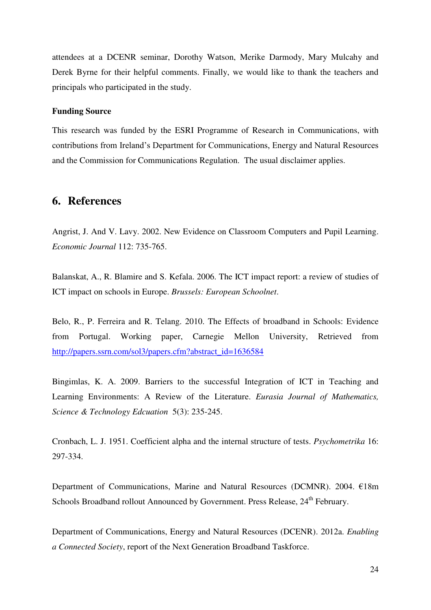attendees at a DCENR seminar, Dorothy Watson, Merike Darmody, Mary Mulcahy and Derek Byrne for their helpful comments. Finally, we would like to thank the teachers and principals who participated in the study.

#### **Funding Source**

This research was funded by the ESRI Programme of Research in Communications, with contributions from Ireland's Department for Communications, Energy and Natural Resources and the Commission for Communications Regulation. The usual disclaimer applies.

## **6. References**

Angrist, J. And V. Lavy. 2002. New Evidence on Classroom Computers and Pupil Learning. *Economic Journal* 112: 735-765.

Balanskat, A., R. Blamire and S. Kefala. 2006. The ICT impact report: a review of studies of ICT impact on schools in Europe. *Brussels: European Schoolnet*.

Belo, R., P. Ferreira and R. Telang. 2010. The Effects of broadband in Schools: Evidence from Portugal. Working paper, Carnegie Mellon University, Retrieved from [http://papers.ssrn.com/sol3/papers.cfm?abstract\\_id=1636584](http://papers.ssrn.com/sol3/papers.cfm?abstract_id=1636584) 

Bingimlas, K. A. 2009. Barriers to the successful Integration of ICT in Teaching and Learning Environments: A Review of the Literature. *Eurasia Journal of Mathematics, Science & Technology Edcuation* 5(3): 235-245.

Cronbach, L. J. 1951. Coefficient alpha and the internal structure of tests. *Psychometrika* 16: 297-334.

Department of Communications, Marine and Natural Resources (DCMNR). 2004. €18m Schools Broadband rollout Announced by Government. Press Release, 24<sup>th</sup> February.

Department of Communications, Energy and Natural Resources (DCENR). 2012a. *Enabling a Connected Society*, report of the Next Generation Broadband Taskforce.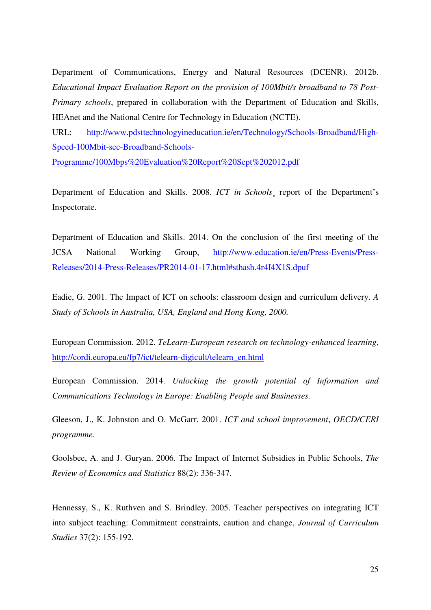Department of Communications, Energy and Natural Resources (DCENR). 2012b. *Educational Impact Evaluation Report on the provision of 100Mbit/s broadband to 78 Post-Primary schools*, prepared in collaboration with the Department of Education and Skills, HEAnet and the National Centre for Technology in Education (NCTE).

URL: [http://www.pdsttechnologyineducation.ie/en/Technology/Schools-Broadband/High-](http://www.pdsttechnologyineducation.ie/en/Technology/Schools-Broadband/High-Speed-100Mbit-sec-Broadband-Schools-Programme/100Mbps%20Evaluation%20Report%20Sept%202012.pdf)[Speed-100Mbit-sec-Broadband-Schools-](http://www.pdsttechnologyineducation.ie/en/Technology/Schools-Broadband/High-Speed-100Mbit-sec-Broadband-Schools-Programme/100Mbps%20Evaluation%20Report%20Sept%202012.pdf)

[Programme/100Mbps%20Evaluation%20Report%20Sept%202012.pdf](http://www.pdsttechnologyineducation.ie/en/Technology/Schools-Broadband/High-Speed-100Mbit-sec-Broadband-Schools-Programme/100Mbps%20Evaluation%20Report%20Sept%202012.pdf) 

Department of Education and Skills. 2008. *ICT in Schools*¸ report of the Department's Inspectorate.

Department of Education and Skills. 2014. On the conclusion of the first meeting of the JCSA National Working Group, [http://www.education.ie/en/Press-Events/Press-](http://www.education.ie/en/Press-Events/Press-Releases/2014-Press-Releases/PR2014-01-17.html#sthash.4r4I4X1S.dpuf)[Releases/2014-Press-Releases/PR2014-01-17.html#sthash.4r4I4X1S.dpuf](http://www.education.ie/en/Press-Events/Press-Releases/2014-Press-Releases/PR2014-01-17.html#sthash.4r4I4X1S.dpuf) 

Eadie, G. 2001. The Impact of ICT on schools: classroom design and curriculum delivery. *A Study of Schools in Australia, USA, England and Hong Kong, 2000.* 

European Commission. 2012. *TeLearn-European research on technology-enhanced learning*, [http://cordi.europa.eu/fp7/ict/telearn-digicult/telearn\\_en.html](http://cordi.europa.eu/fp7/ict/telearn-digicult/telearn_en.html)

European Commission. 2014. *Unlocking the growth potential of Information and Communications Technology in Europe: Enabling People and Businesses.*

Gleeson, J., K. Johnston and O. McGarr. 2001. *ICT and school improvement*, *OECD/CERI programme.*

Goolsbee, A. and J. Guryan. 2006. The Impact of Internet Subsidies in Public Schools, *The Review of Economics and Statistics* 88(2): 336-347.

Hennessy, S., K. Ruthven and S. Brindley. 2005. Teacher perspectives on integrating ICT into subject teaching: Commitment constraints, caution and change, *Journal of Curriculum Studies* 37(2): 155-192.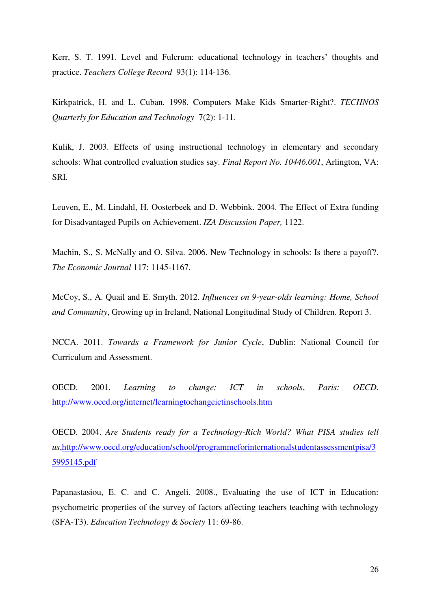Kerr, S. T. 1991. Level and Fulcrum: educational technology in teachers' thoughts and practice. *Teachers College Record* 93(1): 114-136.

Kirkpatrick, H. and L. Cuban. 1998. Computers Make Kids Smarter-Right?. *TECHNOS Quarterly for Education and Technology* 7(2): 1-11.

Kulik, J. 2003. Effects of using instructional technology in elementary and secondary schools: What controlled evaluation studies say. *Final Report No. 10446.001*, Arlington, VA: SRI.

Leuven, E., M. Lindahl, H. Oosterbeek and D. Webbink. 2004. The Effect of Extra funding for Disadvantaged Pupils on Achievement. *IZA Discussion Paper,* 1122.

Machin, S., S. McNally and O. Silva. 2006. New Technology in schools: Is there a payoff?. *The Economic Journal* 117: 1145-1167.

McCoy, S., A. Quail and E. Smyth. 2012. *Influences on 9-year-olds learning: Home, School and Community*, Growing up in Ireland, National Longitudinal Study of Children. Report 3.

NCCA. 2011. *Towards a Framework for Junior Cycle*, Dublin: National Council for Curriculum and Assessment.

OECD. 2001. *Learning to change: ICT in schools*, *Paris: OECD*. <http://www.oecd.org/internet/learningtochangeictinschools.htm>

OECD. 2004. *Are Students ready for a Technology-Rich World? What PISA studies tell us*[,http://www.oecd.org/education/school/programmeforinternationalstudentassessmentpisa/3](http://www.oecd.org/education/school/programmeforinternationalstudentassessmentpisa/35995145.pdf) [5995145.pdf](http://www.oecd.org/education/school/programmeforinternationalstudentassessmentpisa/35995145.pdf) 

Papanastasiou, E. C. and C. Angeli. 2008., Evaluating the use of ICT in Education: psychometric properties of the survey of factors affecting teachers teaching with technology (SFA-T3). *Education Technology & Society* 11: 69-86.